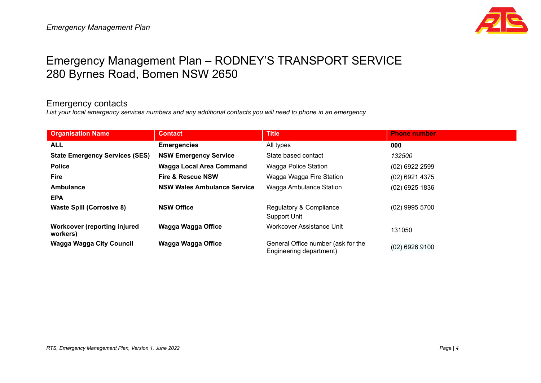

# Emergency Management Plan – RODNEY'S TRANSPORT SERVICE 280 Byrnes Road, Bomen NSW 2650

#### Emergency contacts

List your local emergency services numbers and any additional contacts you will need to phone in an emergency

| <b>Organisation Name</b>                 | <b>Contact</b>                     | <b>Title</b>                                                  | <b>Phone number</b> |
|------------------------------------------|------------------------------------|---------------------------------------------------------------|---------------------|
| <b>ALL</b>                               | <b>Emergencies</b>                 | All types                                                     | 000                 |
| <b>State Emergency Services (SES)</b>    | <b>NSW Emergency Service</b>       | State based contact                                           | 132500              |
| <b>Police</b>                            | Wagga Local Area Command           | Wagga Police Station                                          | (02) 6922 2599      |
| <b>Fire</b>                              | <b>Fire &amp; Rescue NSW</b>       | Wagga Wagga Fire Station                                      | (02) 6921 4375      |
| Ambulance                                | <b>NSW Wales Ambulance Service</b> | Wagga Ambulance Station                                       | (02) 6925 1836      |
| <b>EPA</b>                               |                                    |                                                               |                     |
| <b>Waste Spill (Corrosive 8)</b>         | <b>NSW Office</b>                  | Regulatory & Compliance                                       | (02) 9995 5700      |
|                                          |                                    | Support Unit                                                  |                     |
| Workcover (reporting injured<br>workers) | Wagga Wagga Office                 | <b>Workcover Assistance Unit</b>                              | 131050              |
| Wagga Wagga City Council                 | Wagga Wagga Office                 | General Office number (ask for the<br>Engineering department) | (02) 6926 9100      |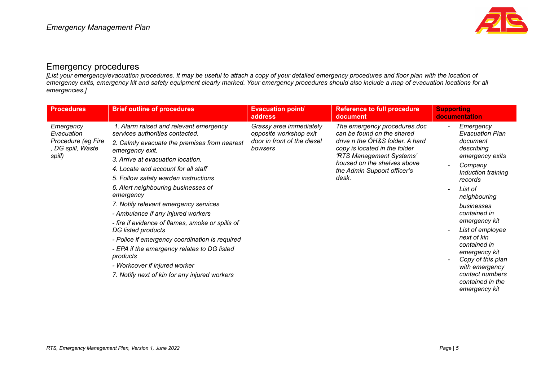

### Emergency procedures

[List your emergency/evacuation procedures. It may be useful to attach a copy of your detailed emergency procedures and floor plan with the location of emergency exits, emergency kit and safety equipment clearly marked. Your emergency procedures should also include a map of evacuation locations for all *emergencies.]*

| <b>Procedures</b>                                                            | <b>Brief outline of procedures</b>                                                                                                                                                                                                                                                                                                                                                                                                                                                                                                                                                                                                                                           | <b>Evacuation point/</b><br>address                                                         | <b>Reference to full procedure</b><br>document                                                                                                                                                                                    | <b>Supporting</b><br>documentation                                                                                                                                                                                                                                                                                                                                        |
|------------------------------------------------------------------------------|------------------------------------------------------------------------------------------------------------------------------------------------------------------------------------------------------------------------------------------------------------------------------------------------------------------------------------------------------------------------------------------------------------------------------------------------------------------------------------------------------------------------------------------------------------------------------------------------------------------------------------------------------------------------------|---------------------------------------------------------------------------------------------|-----------------------------------------------------------------------------------------------------------------------------------------------------------------------------------------------------------------------------------|---------------------------------------------------------------------------------------------------------------------------------------------------------------------------------------------------------------------------------------------------------------------------------------------------------------------------------------------------------------------------|
| Emergency<br>Evacuation<br>Procedure (eg Fire<br>, DG spill, Waste<br>spill) | 1. Alarm raised and relevant emergency<br>services authorities contacted.<br>2. Calmly evacuate the premises from nearest<br>emergency exit.<br>3. Arrive at evacuation location.<br>4. Locate and account for all staff<br>5. Follow safety warden instructions<br>6. Alert neighbouring businesses of<br>emergency<br>7. Notify relevant emergency services<br>- Ambulance if any injured workers<br>- fire if evidence of flames, smoke or spills of<br>DG listed products<br>- Police if emergency coordination is required<br>- EPA if the emergency relates to DG listed<br>products<br>- Workcover if injured worker<br>7. Notify next of kin for any injured workers | Grassy area immediately<br>opposite workshop exit<br>door in front of the diesel<br>bowsers | The emergency procedures.doc<br>can be found on the shared<br>drive n the OH&S folder. A hard<br>copy is located in the folder<br>'RTS Management Systems'<br>housed on the shelves above<br>the Admin Support officer's<br>desk. | Emergency<br><b>Evacuation Plan</b><br>document<br>describing<br>emergency exits<br>Company<br>Induction training<br>records<br>List of<br>neighbouring<br>businesses<br>contained in<br>emergency kit<br>List of employee<br>next of kin<br>contained in<br>emergency kit<br>Copy of this plan<br>with emergency<br>contact numbers<br>contained in the<br>emergency kit |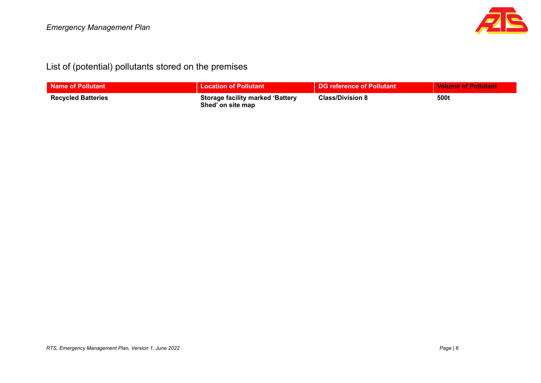

## List of (potential) pollutants stored on the premises

| Name of Pollutant         | <b>Location of Pollutant</b>                                 | <b>DG reference of Pollutant</b> | <b>Volume of Pollutant</b> |
|---------------------------|--------------------------------------------------------------|----------------------------------|----------------------------|
| <b>Recycled Batteries</b> | <b>Storage facility marked 'Battery</b><br>Shed' on site map | <b>Class/Division 8</b>          | 500t                       |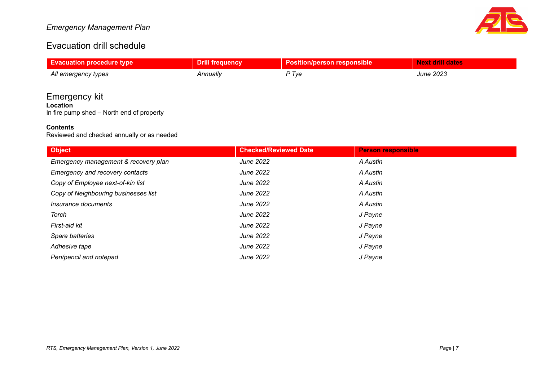#### *Emergency Management Plan*



### Evacuation drill schedule

| <b>Evacuation procedure type</b> | <b>Drill frequency</b> | <b>Position/person responsible</b> | <b>Next drill dates</b> |
|----------------------------------|------------------------|------------------------------------|-------------------------|
| All emergency types              | Annuallv               | P Tve                              | <b>June 2023</b>        |
|                                  |                        |                                    |                         |

### Emergency kit

**Location** In fire pump shed – North end of property

#### **Contents**

Reviewed and checked annually or as needed

| <b>Object</b>                        | <b>Checked/Reviewed Date</b> | <b>Person responsible</b> |
|--------------------------------------|------------------------------|---------------------------|
| Emergency management & recovery plan | June 2022                    | A Austin                  |
| Emergency and recovery contacts      | June 2022                    | A Austin                  |
| Copy of Employee next-of-kin list    | June 2022                    | A Austin                  |
| Copy of Neighbouring businesses list | June 2022                    | A Austin                  |
| Insurance documents                  | June 2022                    | A Austin                  |
| Torch                                | June 2022                    | J Payne                   |
| First-aid kit                        | June 2022                    | J Payne                   |
| Spare batteries                      | June 2022                    | J Payne                   |
| Adhesive tape                        | June 2022                    | J Payne                   |
| Pen/pencil and notepad               | June 2022                    | J Payne                   |